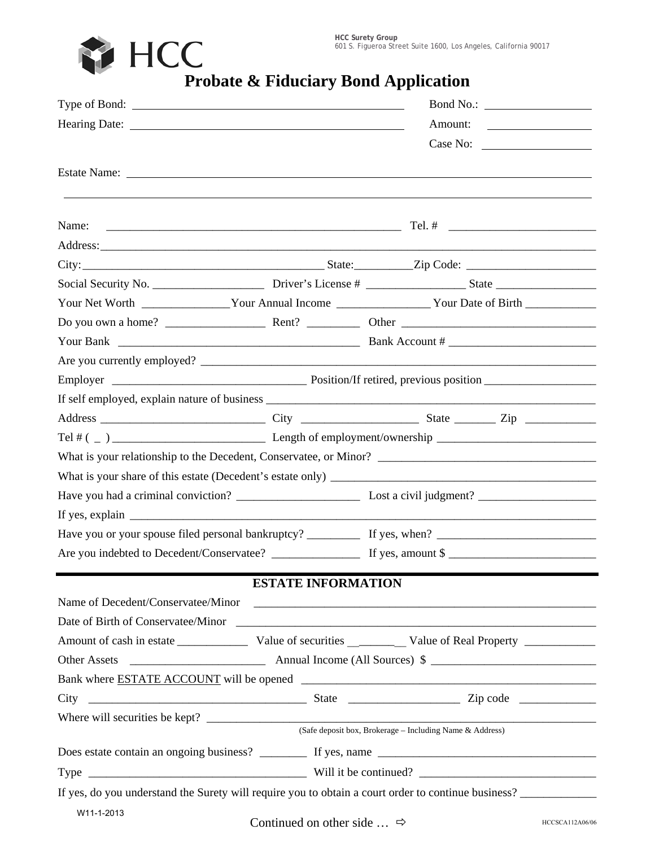**HCC Surety Group** 601 S. Figueroa Street Suite 1600, Los Angeles, California 90017



|                        |                                              | Bond No.:                                                                                                                                                                                                                      |                 |  |  |
|------------------------|----------------------------------------------|--------------------------------------------------------------------------------------------------------------------------------------------------------------------------------------------------------------------------------|-----------------|--|--|
|                        |                                              |                                                                                                                                                                                                                                |                 |  |  |
|                        |                                              | Case No:                                                                                                                                                                                                                       |                 |  |  |
|                        |                                              |                                                                                                                                                                                                                                |                 |  |  |
|                        |                                              |                                                                                                                                                                                                                                |                 |  |  |
| Name:                  |                                              |                                                                                                                                                                                                                                |                 |  |  |
|                        |                                              | Address: Andreas Address: Address: Address: Address: Address: Address: Address: Address: Address: Address: Address: Address: Address: Address: Address: Address: Address: Address: Address: Address: Address: Address: Address |                 |  |  |
|                        |                                              |                                                                                                                                                                                                                                |                 |  |  |
|                        |                                              |                                                                                                                                                                                                                                |                 |  |  |
|                        |                                              | Your Net Worth _________________Your Annual Income ___________________Your Date of Birth _________________                                                                                                                     |                 |  |  |
|                        |                                              |                                                                                                                                                                                                                                |                 |  |  |
|                        |                                              | Your Bank $\_\_\_\_\_\_\_\_\_\_\$ Bank Account # $\_\_\_\_\_\_\_\_\_\_\_\_\_\_\_\_\_\_$                                                                                                                                        |                 |  |  |
|                        |                                              |                                                                                                                                                                                                                                |                 |  |  |
|                        |                                              |                                                                                                                                                                                                                                |                 |  |  |
|                        |                                              |                                                                                                                                                                                                                                |                 |  |  |
|                        |                                              |                                                                                                                                                                                                                                |                 |  |  |
|                        |                                              |                                                                                                                                                                                                                                |                 |  |  |
|                        |                                              |                                                                                                                                                                                                                                |                 |  |  |
|                        |                                              |                                                                                                                                                                                                                                |                 |  |  |
|                        |                                              |                                                                                                                                                                                                                                |                 |  |  |
| If yes, explain $\Box$ |                                              |                                                                                                                                                                                                                                |                 |  |  |
|                        |                                              |                                                                                                                                                                                                                                |                 |  |  |
|                        |                                              |                                                                                                                                                                                                                                |                 |  |  |
|                        | <b>ESTATE INFORMATION</b>                    |                                                                                                                                                                                                                                |                 |  |  |
|                        |                                              |                                                                                                                                                                                                                                |                 |  |  |
|                        |                                              | Date of Birth of Conservatee/Minor Conservation Conservation Conservation Conservation Conservation Conservation Conservation Conservation Conservation Conservation Conservation Conservation Conservation Conservation Conse |                 |  |  |
|                        |                                              |                                                                                                                                                                                                                                |                 |  |  |
|                        |                                              |                                                                                                                                                                                                                                |                 |  |  |
|                        |                                              | Bank where ESTATE ACCOUNT will be opened                                                                                                                                                                                       |                 |  |  |
|                        |                                              |                                                                                                                                                                                                                                |                 |  |  |
|                        |                                              |                                                                                                                                                                                                                                |                 |  |  |
|                        |                                              | (Safe deposit box, Brokerage - Including Name & Address)                                                                                                                                                                       |                 |  |  |
|                        |                                              |                                                                                                                                                                                                                                |                 |  |  |
|                        |                                              |                                                                                                                                                                                                                                |                 |  |  |
|                        |                                              | If yes, do you understand the Surety will require you to obtain a court order to continue business?                                                                                                                            |                 |  |  |
| W11-1-2013             |                                              |                                                                                                                                                                                                                                |                 |  |  |
|                        | Continued on other side $\ldots \Rightarrow$ |                                                                                                                                                                                                                                | HCCSCA112A06/06 |  |  |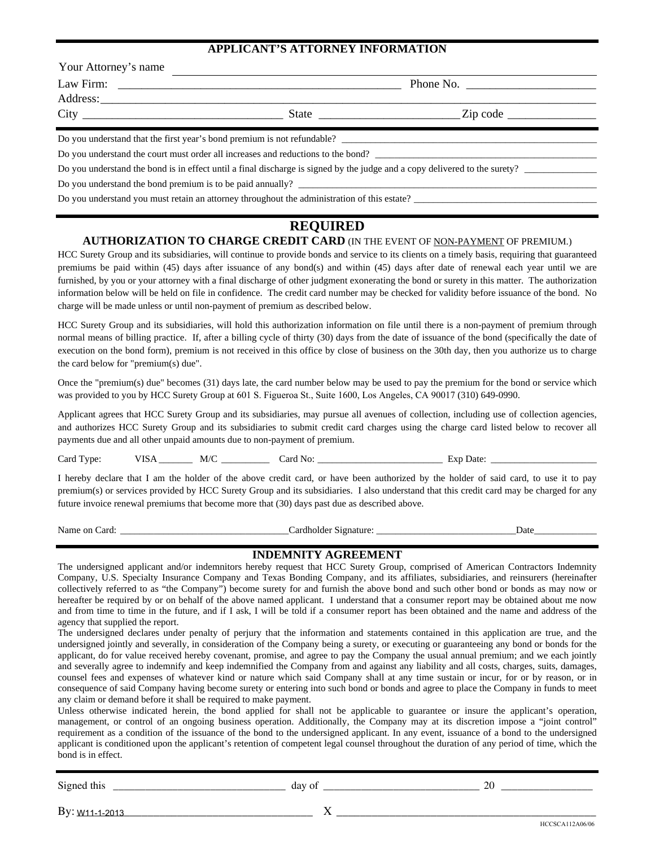### **APPLICANT'S ATTORNEY INFORMATION**

| Your Attorney's name |                                                                                             |                                                                                                                                                                                                                                                                                                                       |  |  |
|----------------------|---------------------------------------------------------------------------------------------|-----------------------------------------------------------------------------------------------------------------------------------------------------------------------------------------------------------------------------------------------------------------------------------------------------------------------|--|--|
|                      |                                                                                             | Phone No.                                                                                                                                                                                                                                                                                                             |  |  |
|                      |                                                                                             |                                                                                                                                                                                                                                                                                                                       |  |  |
|                      |                                                                                             | State $\frac{1}{2}$ $\frac{1}{2}$ $\frac{1}{2}$ $\frac{1}{2}$ $\frac{1}{2}$ $\frac{1}{2}$ $\frac{1}{2}$ $\frac{1}{2}$ $\frac{1}{2}$ $\frac{1}{2}$ $\frac{1}{2}$ $\frac{1}{2}$ $\frac{1}{2}$ $\frac{1}{2}$ $\frac{1}{2}$ $\frac{1}{2}$ $\frac{1}{2}$ $\frac{1}{2}$ $\frac{1}{2}$ $\frac{1}{2}$ $\frac{1}{2}$ $\frac{1$ |  |  |
|                      | Do you understand that the first year's bond premium is not refundable?                     |                                                                                                                                                                                                                                                                                                                       |  |  |
|                      | Do you understand the court must order all increases and reductions to the bond?            |                                                                                                                                                                                                                                                                                                                       |  |  |
|                      |                                                                                             | Do you understand the bond is in effect until a final discharge is signed by the judge and a copy delivered to the surety?                                                                                                                                                                                            |  |  |
|                      | Do you understand the bond premium is to be paid annually?                                  |                                                                                                                                                                                                                                                                                                                       |  |  |
|                      | Do you understand you must retain an attorney throughout the administration of this estate? |                                                                                                                                                                                                                                                                                                                       |  |  |

# **REQUIRED**

# **AUTHORIZATION TO CHARGE CREDIT CARD** (IN THE EVENT OF NON-PAYMENT OF PREMIUM.)

HCC Surety Group and its subsidiaries, will continue to provide bonds and service to its clients on a timely basis, requiring that guaranteed premiums be paid within (45) days after issuance of any bond(s) and within (45) days after date of renewal each year until we are furnished, by you or your attorney with a final discharge of other judgment exonerating the bond or surety in this matter. The authorization information below will be held on file in confidence. The credit card number may be checked for validity before issuance of the bond. No charge will be made unless or until non-payment of premium as described below.

HCC Surety Group and its subsidiaries, will hold this authorization information on file until there is a non-payment of premium through normal means of billing practice. If, after a billing cycle of thirty (30) days from the date of issuance of the bond (specifically the date of execution on the bond form), premium is not received in this office by close of business on the 30th day, then you authorize us to charge the card below for "premium(s) due".

Once the "premium(s) due" becomes (31) days late, the card number below may be used to pay the premium for the bond or service which was provided to you by HCC Surety Group at 601 S. Figueroa St., Suite 1600, Los Angeles, CA 90017 (310) 649-0990.

Applicant agrees that HCC Surety Group and its subsidiaries, may pursue all avenues of collection, including use of collection agencies, and authorizes HCC Surety Group and its subsidiaries to submit credit card charges using the charge card listed below to recover all payments due and all other unpaid amounts due to non-payment of premium.

Card Type: VISA \_\_\_\_\_\_\_\_ M/C \_\_\_\_\_\_\_\_\_\_\_ Card No: \_\_\_\_\_\_\_\_\_\_\_\_\_\_\_\_\_\_\_\_\_\_\_\_\_\_\_\_\_\_\_ Exp Date: \_\_\_\_\_\_\_\_\_\_\_\_\_\_\_\_\_\_

I hereby declare that I am the holder of the above credit card, or have been authorized by the holder of said card, to use it to pay premium(s) or services provided by HCC Surety Group and its subsidiaries. I also understand that this credit card may be charged for any future invoice renewal premiums that become more that (30) days past due as described above.

Name on Card: \_\_\_\_\_\_\_\_\_\_\_\_\_\_\_\_\_\_\_\_\_\_\_\_\_\_\_\_\_\_\_\_\_\_\_Cardholder Signature: \_\_\_\_\_\_\_\_\_\_\_\_\_\_\_\_\_\_\_\_\_\_\_\_\_\_\_\_\_Date\_\_\_\_\_\_\_\_\_\_\_\_\_

## **INDEMNITY AGREEMENT**

The undersigned applicant and/or indemnitors hereby request that HCC Surety Group, comprised of American Contractors Indemnity Company, U.S. Specialty Insurance Company and Texas Bonding Company, and its affiliates, subsidiaries, and reinsurers (hereinafter collectively referred to as "the Company") become surety for and furnish the above bond and such other bond or bonds as may now or hereafter be required by or on behalf of the above named applicant. I understand that a consumer report may be obtained about me now and from time to time in the future, and if I ask, I will be told if a consumer report has been obtained and the name and address of the agency that supplied the report.

The undersigned declares under penalty of perjury that the information and statements contained in this application are true, and the undersigned jointly and severally, in consideration of the Company being a surety, or executing or guaranteeing any bond or bonds for the applicant, do for value received hereby covenant, promise, and agree to pay the Company the usual annual premium; and we each jointly and severally agree to indemnify and keep indemnified the Company from and against any liability and all costs, charges, suits, damages, counsel fees and expenses of whatever kind or nature which said Company shall at any time sustain or incur, for or by reason, or in consequence of said Company having become surety or entering into such bond or bonds and agree to place the Company in funds to meet any claim or demand before it shall be required to make payment.

Unless otherwise indicated herein, the bond applied for shall not be applicable to guarantee or insure the applicant's operation, management, or control of an ongoing business operation. Additionally, the Company may at its discretion impose a "joint control" requirement as a condition of the issuance of the bond to the undersigned applicant. In any event, issuance of a bond to the undersigned applicant is conditioned upon the applicant's retention of competent legal counsel throughout the duration of any period of time, which the bond is in effect.

| $\sim$<br>.<br>'neo<br>ums<br>919 | רי<br>$\mathbf{U}$<br>$\cdot$<br>ua<br>__<br>___ | זר<br>-- |  |
|-----------------------------------|--------------------------------------------------|----------|--|
|                                   |                                                  |          |  |

By:  $W11-1-2013$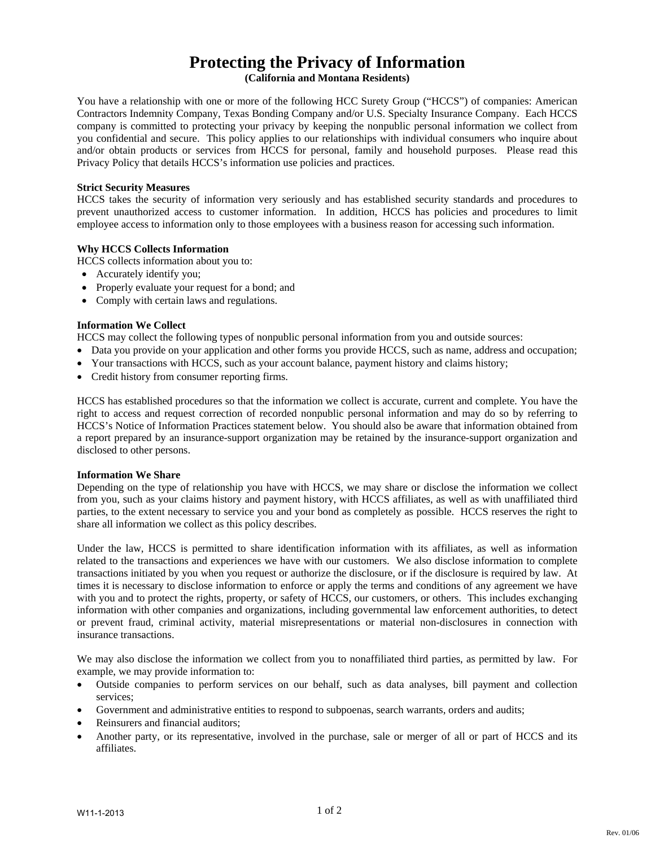# **Protecting the Privacy of Information**

**(California and Montana Residents)**

You have a relationship with one or more of the following HCC Surety Group ("HCCS") of companies: American Contractors Indemnity Company, Texas Bonding Company and/or U.S. Specialty Insurance Company. Each HCCS company is committed to protecting your privacy by keeping the nonpublic personal information we collect from you confidential and secure. This policy applies to our relationships with individual consumers who inquire about and/or obtain products or services from HCCS for personal, family and household purposes. Please read this Privacy Policy that details HCCS's information use policies and practices.

#### **Strict Security Measures**

HCCS takes the security of information very seriously and has established security standards and procedures to prevent unauthorized access to customer information. In addition, HCCS has policies and procedures to limit employee access to information only to those employees with a business reason for accessing such information.

#### **Why HCCS Collects Information**

HCCS collects information about you to:

- Accurately identify you;
- Properly evaluate your request for a bond; and
- Comply with certain laws and regulations.

#### **Information We Collect**

HCCS may collect the following types of nonpublic personal information from you and outside sources:

- Data you provide on your application and other forms you provide HCCS, such as name, address and occupation;
- Your transactions with HCCS, such as your account balance, payment history and claims history;
- Credit history from consumer reporting firms.

HCCS has established procedures so that the information we collect is accurate, current and complete. You have the right to access and request correction of recorded nonpublic personal information and may do so by referring to HCCS's Notice of Information Practices statement below. You should also be aware that information obtained from a report prepared by an insurance-support organization may be retained by the insurance-support organization and disclosed to other persons.

#### **Information We Share**

Depending on the type of relationship you have with HCCS, we may share or disclose the information we collect from you, such as your claims history and payment history, with HCCS affiliates, as well as with unaffiliated third parties, to the extent necessary to service you and your bond as completely as possible. HCCS reserves the right to share all information we collect as this policy describes.

Under the law, HCCS is permitted to share identification information with its affiliates, as well as information related to the transactions and experiences we have with our customers. We also disclose information to complete transactions initiated by you when you request or authorize the disclosure, or if the disclosure is required by law. At times it is necessary to disclose information to enforce or apply the terms and conditions of any agreement we have with you and to protect the rights, property, or safety of HCCS, our customers, or others. This includes exchanging information with other companies and organizations, including governmental law enforcement authorities, to detect or prevent fraud, criminal activity, material misrepresentations or material non-disclosures in connection with insurance transactions.

We may also disclose the information we collect from you to nonaffiliated third parties, as permitted by law. For example, we may provide information to:

- Outside companies to perform services on our behalf, such as data analyses, bill payment and collection services;
- Government and administrative entities to respond to subpoenas, search warrants, orders and audits;
- Reinsurers and financial auditors:
- Another party, or its representative, involved in the purchase, sale or merger of all or part of HCCS and its affiliates.